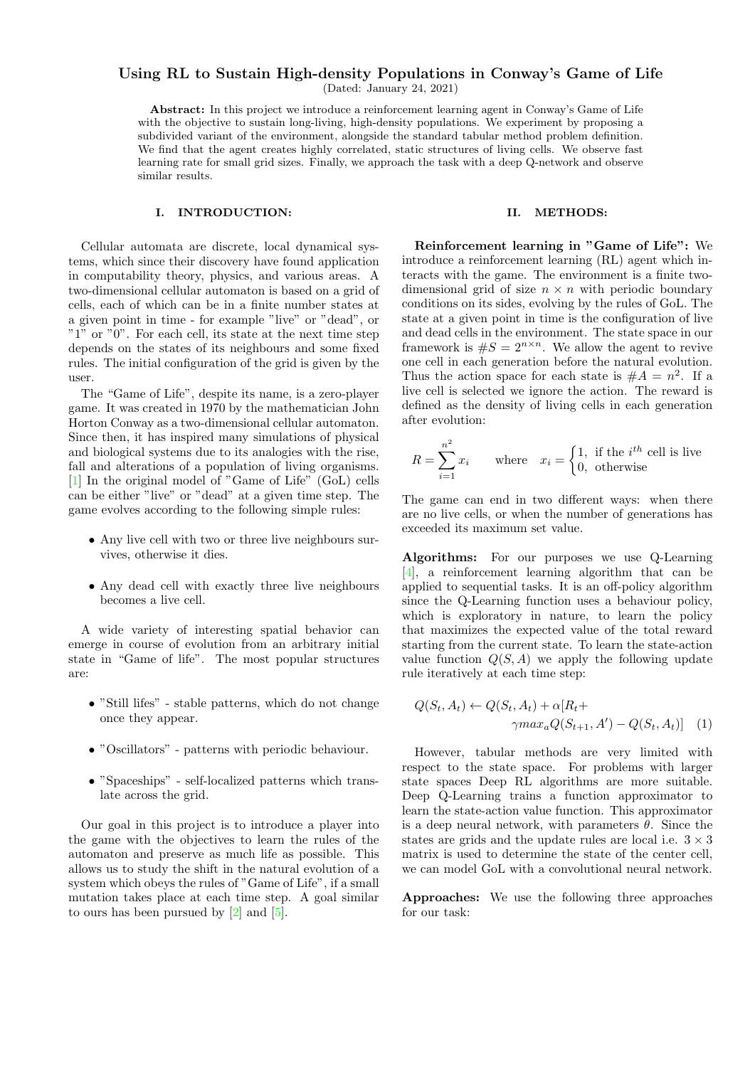# Using RL to Sustain High-density Populations in Conway's Game of Life

(Dated: January 24, 2021)

Abstract: In this project we introduce a reinforcement learning agent in Conway's Game of Life with the objective to sustain long-living, high-density populations. We experiment by proposing a subdivided variant of the environment, alongside the standard tabular method problem definition. We find that the agent creates highly correlated, static structures of living cells. We observe fast learning rate for small grid sizes. Finally, we approach the task with a deep Q-network and observe similar results.

### I. INTRODUCTION:

Cellular automata are discrete, local dynamical systems, which since their discovery have found application in computability theory, physics, and various areas. A two-dimensional cellular automaton is based on a grid of cells, each of which can be in a finite number states at a given point in time - for example "live" or "dead", or "1" or "0". For each cell, its state at the next time step depends on the states of its neighbours and some fixed rules. The initial configuration of the grid is given by the user.

The "Game of Life", despite its name, is a zero-player game. It was created in 1970 by the mathematician John Horton Conway as a two-dimensional cellular automaton. Since then, it has inspired many simulations of physical and biological systems due to its analogies with the rise, fall and alterations of a population of living organisms. [\[1\]](#page-3-0) In the original model of "Game of Life" (GoL) cells can be either "live" or "dead" at a given time step. The game evolves according to the following simple rules:

- Any live cell with two or three live neighbours survives, otherwise it dies.
- Any dead cell with exactly three live neighbours becomes a live cell.

A wide variety of interesting spatial behavior can emerge in course of evolution from an arbitrary initial state in "Game of life". The most popular structures are:

- "Still lifes" stable patterns, which do not change once they appear.
- "Oscillators" patterns with periodic behaviour.
- "Spaceships" self-localized patterns which translate across the grid.

Our goal in this project is to introduce a player into the game with the objectives to learn the rules of the automaton and preserve as much life as possible. This allows us to study the shift in the natural evolution of a system which obeys the rules of "Game of Life", if a small mutation takes place at each time step. A goal similar to ours has been pursued by [\[2\]](#page-3-1) and [\[5\]](#page-3-2).

#### II. METHODS:

Reinforcement learning in "Game of Life": We introduce a reinforcement learning (RL) agent which interacts with the game. The environment is a finite twodimensional grid of size  $n \times n$  with periodic boundary conditions on its sides, evolving by the rules of GoL. The state at a given point in time is the configuration of live and dead cells in the environment. The state space in our framework is  $\#S = 2^{n \times n}$ . We allow the agent to revive one cell in each generation before the natural evolution. Thus the action space for each state is  $#A = n^2$ . If a live cell is selected we ignore the action. The reward is defined as the density of living cells in each generation after evolution:

$$
R = \sum_{i=1}^{n^2} x_i
$$
 where  $x_i = \begin{cases} 1, & \text{if the } i^{th} \text{ cell is live} \\ 0, & \text{otherwise} \end{cases}$ 

The game can end in two different ways: when there are no live cells, or when the number of generations has exceeded its maximum set value.

Algorithms: For our purposes we use Q-Learning [\[4\]](#page-3-3), a reinforcement learning algorithm that can be applied to sequential tasks. It is an off-policy algorithm since the Q-Learning function uses a behaviour policy, which is exploratory in nature, to learn the policy that maximizes the expected value of the total reward starting from the current state. To learn the state-action value function  $Q(S, A)$  we apply the following update rule iteratively at each time step:

$$
Q(S_t, A_t) \leftarrow Q(S_t, A_t) + \alpha [R_t + \gamma max_a Q(S_{t+1}, A') - Q(S_t, A_t)] \tag{1}
$$

However, tabular methods are very limited with respect to the state space. For problems with larger state spaces Deep RL algorithms are more suitable. Deep Q-Learning trains a function approximator to learn the state-action value function. This approximator is a deep neural network, with parameters  $\theta$ . Since the states are grids and the update rules are local i.e.  $3 \times 3$ matrix is used to determine the state of the center cell, we can model GoL with a convolutional neural network.

Approaches: We use the following three approaches for our task: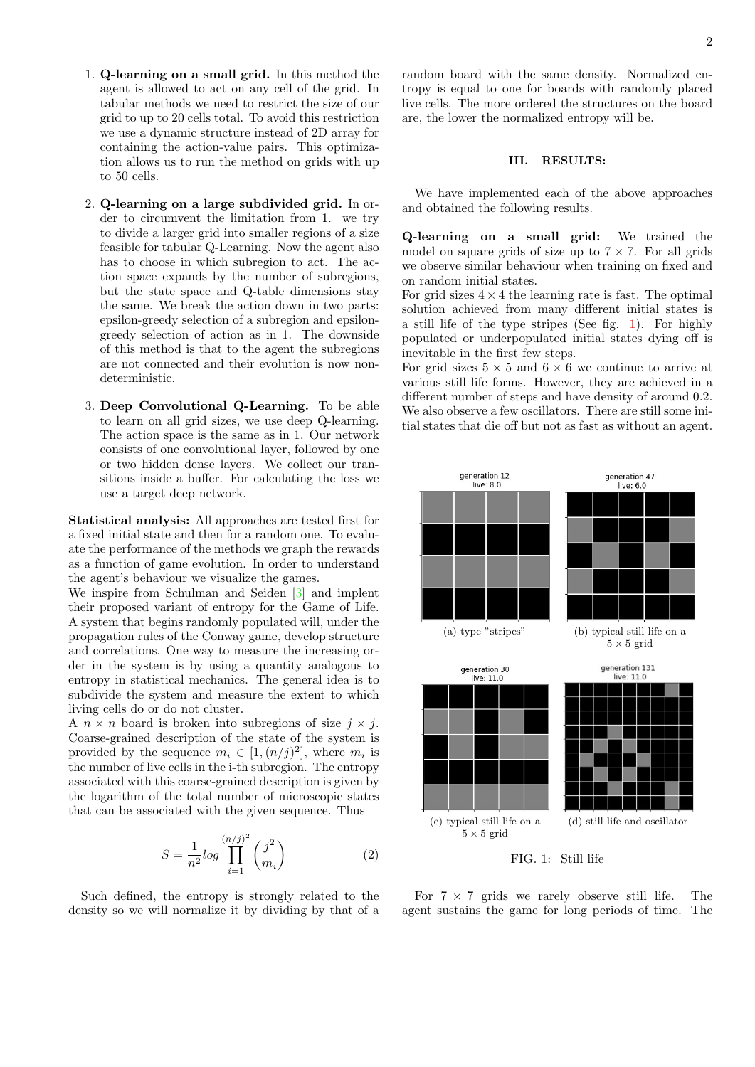- 1. Q-learning on a small grid. In this method the agent is allowed to act on any cell of the grid. In tabular methods we need to restrict the size of our grid to up to 20 cells total. To avoid this restriction we use a dynamic structure instead of 2D array for containing the action-value pairs. This optimization allows us to run the method on grids with up to 50 cells.
- 2. Q-learning on a large subdivided grid. In order to circumvent the limitation from 1. we try to divide a larger grid into smaller regions of a size feasible for tabular Q-Learning. Now the agent also has to choose in which subregion to act. The action space expands by the number of subregions, but the state space and Q-table dimensions stay the same. We break the action down in two parts: epsilon-greedy selection of a subregion and epsilongreedy selection of action as in 1. The downside of this method is that to the agent the subregions are not connected and their evolution is now nondeterministic.
- 3. Deep Convolutional Q-Learning. To be able to learn on all grid sizes, we use deep Q-learning. The action space is the same as in 1. Our network consists of one convolutional layer, followed by one or two hidden dense layers. We collect our transitions inside a buffer. For calculating the loss we use a target deep network.

Statistical analysis: All approaches are tested first for a fixed initial state and then for a random one. To evaluate the performance of the methods we graph the rewards as a function of game evolution. In order to understand the agent's behaviour we visualize the games.

We inspire from Schulman and Seiden [\[3\]](#page-3-4) and implent their proposed variant of entropy for the Game of Life. A system that begins randomly populated will, under the propagation rules of the Conway game, develop structure and correlations. One way to measure the increasing order in the system is by using a quantity analogous to entropy in statistical mechanics. The general idea is to subdivide the system and measure the extent to which living cells do or do not cluster.

A  $n \times n$  board is broken into subregions of size  $j \times j$ . Coarse-grained description of the state of the system is provided by the sequence  $m_i \in [1, (n/j)^2]$ , where  $m_i$  is the number of live cells in the i-th subregion. The entropy associated with this coarse-grained description is given by the logarithm of the total number of microscopic states that can be associated with the given sequence. Thus

$$
S = \frac{1}{n^2} \log \prod_{i=1}^{(n/j)^2} \binom{j^2}{m_i}
$$
 (2)

Such defined, the entropy is strongly related to the density so we will normalize it by dividing by that of a random board with the same density. Normalized entropy is equal to one for boards with randomly placed live cells. The more ordered the structures on the board are, the lower the normalized entropy will be.

## III. RESULTS:

We have implemented each of the above approaches and obtained the following results.

Q-learning on a small grid: We trained the model on square grids of size up to  $7 \times 7$ . For all grids we observe similar behaviour when training on fixed and on random initial states.

For grid sizes  $4 \times 4$  the learning rate is fast. The optimal solution achieved from many different initial states is a still life of the type stripes (See fig. [1\)](#page-1-0). For highly populated or underpopulated initial states dying off is inevitable in the first few steps.

For grid sizes  $5 \times 5$  and  $6 \times 6$  we continue to arrive at various still life forms. However, they are achieved in a different number of steps and have density of around 0.2. We also observe a few oscillators. There are still some initial states that die off but not as fast as without an agent.

<span id="page-1-0"></span>

For  $7 \times 7$  grids we rarely observe still life. The agent sustains the game for long periods of time. The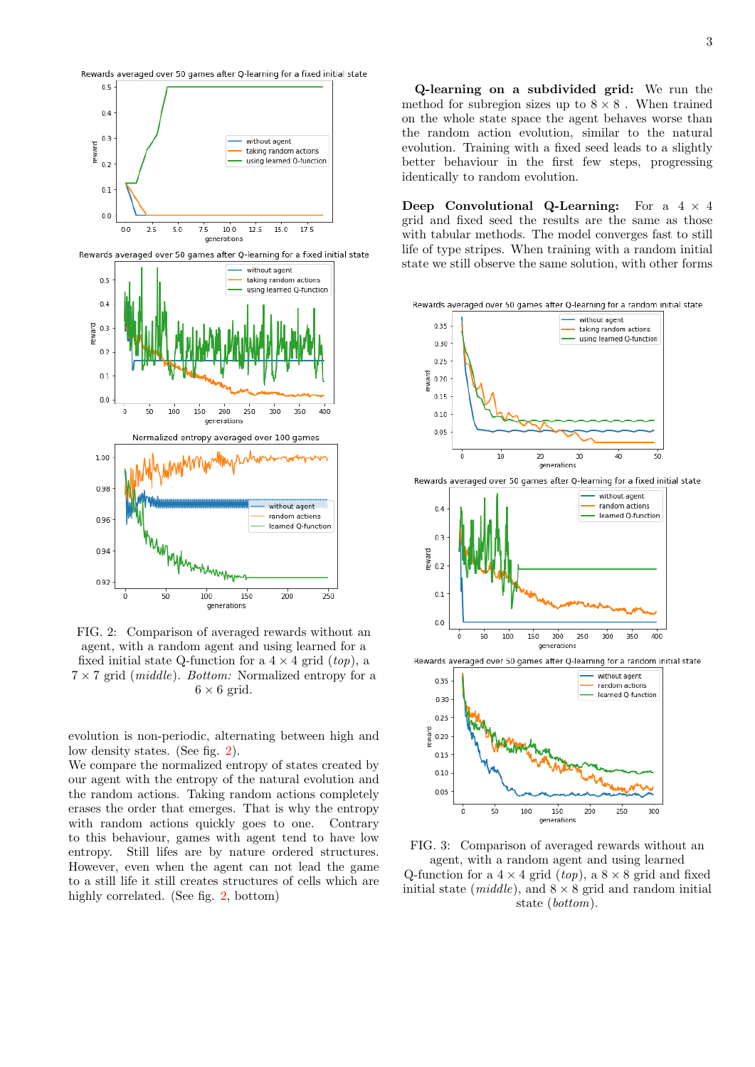<span id="page-2-0"></span>

FIG. 2: Comparison of averaged rewards without an agent, with a random agent and using learned for a fixed initial state Q-function for a  $4 \times 4$  grid  $(top)$ , a  $7 \times 7$  grid (*middle*). *Bottom:* Normalized entropy for a  $6 \times 6$  grid.

evolution is non-periodic, alternating between high and low density states. (See fig. [2\)](#page-2-0).

We compare the normalized entropy of states created by our agent with the entropy of the natural evolution and the random actions. Taking random actions completely erases the order that emerges. That is why the entropy with random actions quickly goes to one. Contrary to this behaviour, games with agent tend to have low entropy. Still lifes are by nature ordered structures. However, even when the agent can not lead the game to a still life it still creates structures of cells which are highly correlated. (See fig. [2,](#page-2-0) bottom)

Q-learning on a subdivided grid: We run the method for subregion sizes up to  $8 \times 8$ . When trained on the whole state space the agent behaves worse than the random action evolution, similar to the natural evolution. Training with a fixed seed leads to a slightly better behaviour in the first few steps, progressing identically to random evolution.

Deep Convolutional Q-Learning: For a  $4 \times 4$ grid and fixed seed the results are the same as those with tabular methods. The model converges fast to still life of type stripes. When training with a random initial state we still observe the same solution, with other forms

<span id="page-2-1"></span>Rewards averaged over 50 games after Q-learning for a random initial state







Rewards averaged over 50 games after Q-learning for a random initial state



FIG. 3: Comparison of averaged rewards without an agent, with a random agent and using learned Q-function for a  $4 \times 4$  grid (*top*), a  $8 \times 8$  grid and fixed initial state (*middle*), and  $8 \times 8$  grid and random initial state (bottom).